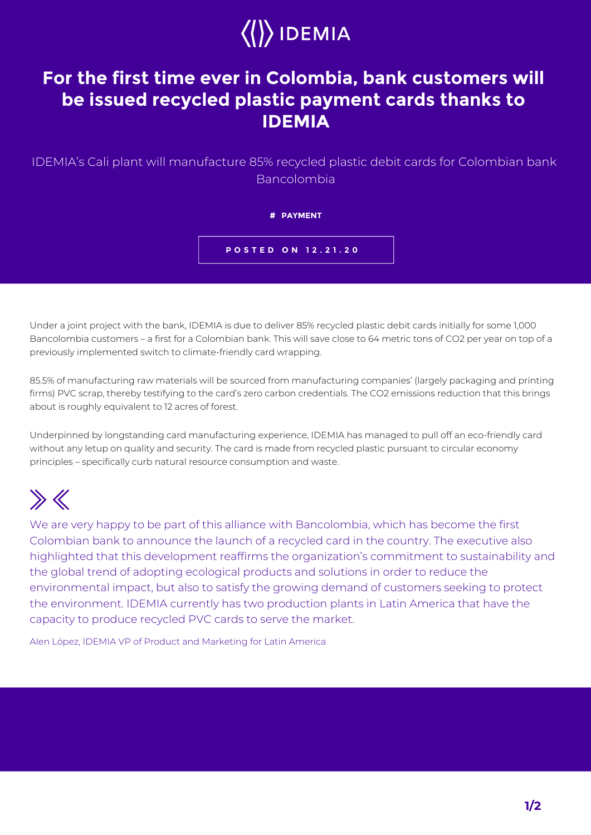

## **For the first time ever in Colombia, bank customers will be issued recycled plastic payment cards thanks to IDEMIA**

IDEMIA's Cali plant will manufacture 85% recycled plastic debit cards for Colombian bank Bancolombia

## **# PAYMENT**

**POSTED ON 12.21.20**

Under a joint project with the bank, IDEMIA is due to deliver 85% recycled plastic debit cards initially for some 1,000 Bancolombia customers – a first for a Colombian bank. This will save close to 64 metric tons of CO2 per year on top of a previously implemented switch to climate-friendly card wrapping.

85.5% of manufacturing raw materials will be sourced from manufacturing companies' (largely packaging and printing firms) PVC scrap, thereby testifying to the card's zero carbon credentials. The CO2 emissions reduction that this brings about is roughly equivalent to 12 acres of forest.

Underpinned by longstanding card manufacturing experience, IDEMIA has managed to pull off an eco-friendly card without any letup on quality and security. The card is made from recycled plastic pursuant to circular economy principles – specifically curb natural resource consumption and waste.

## $\gg K$

We are very happy to be part of this alliance with Bancolombia, which has become the first Colombian bank to announce the launch of a recycled card in the country. The executive also highlighted that this development reaffirms the organization's commitment to sustainability and the global trend of adopting ecological products and solutions in order to reduce the environmental impact, but also to satisfy the growing demand of customers seeking to protect the environment. IDEMIA currently has two production plants in Latin America that have the capacity to produce recycled PVC cards to serve the market.

Alen López, IDEMIA VP of Product and Marketing for Latin America